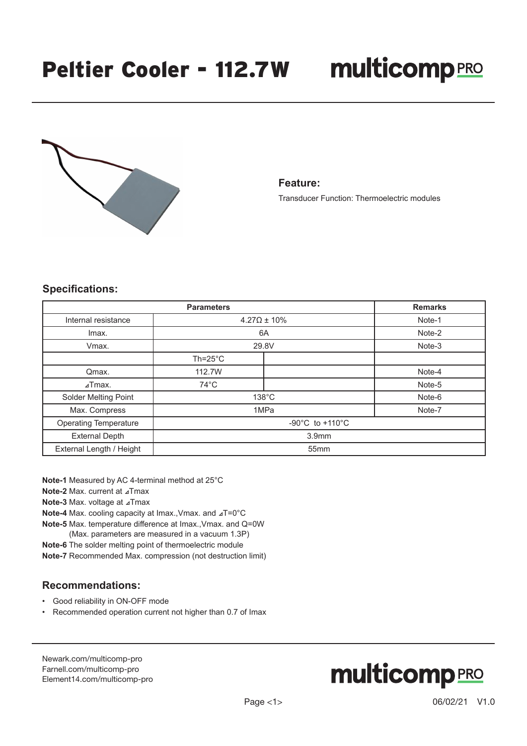# **multicomp**PRO



#### **Feature:**

Transducer Function: Thermoelectric modules

### **Specifications:**

| <b>Parameters</b>            |                                       |  | <b>Remarks</b> |
|------------------------------|---------------------------------------|--|----------------|
| Internal resistance          | $4.27\Omega \pm 10\%$                 |  | Note-1         |
| Imax.                        | 6A                                    |  | Note-2         |
| Vmax.                        | 29.8V                                 |  | Note-3         |
|                              | $Th = 25^{\circ}C$                    |  |                |
| Qmax.                        | 112.7W                                |  | Note-4         |
| $\lambda$ Tmax.              | $74^{\circ}$ C                        |  | Note-5         |
| Solder Melting Point         | $138^{\circ}$ C                       |  | Note-6         |
| Max. Compress                | 1MPa                                  |  | Note-7         |
| <b>Operating Temperature</b> | -90 $^{\circ}$ C to +110 $^{\circ}$ C |  |                |
| <b>External Depth</b>        | 3.9 <sub>mm</sub>                     |  |                |
| External Length / Height     | 55mm                                  |  |                |

**Note-1** Measured by AC 4-terminal method at 25°C

**Note-2** Max. current at ⊿Tmax

**Note-3** Max. voltage at ⊿Tmax

**Note-4** Max. cooling capacity at Imax.,Vmax. and ⊿T=0°C

**Note-5** Max. temperature difference at Imax.,Vmax. and Q=0W

(Max. parameters are measured in a vacuum 1.3P)

**Note-6** The solder melting point of thermoelectric module

**Note-7** Recommended Max. compression (not destruction limit)

## **Recommendations:**

- Good reliability in ON-OFF mode
- Recommended operation current not higher than 0.7 of Imax

[Newark.com/multicomp-](https://www.newark.com/multicomp-pro)pro [Farnell.com/multicomp](https://www.farnell.com/multicomp-pro)-pro [Element14.com/multicomp-pro](https://element14.com/multicomp-pro)

# **multicomp**PRO